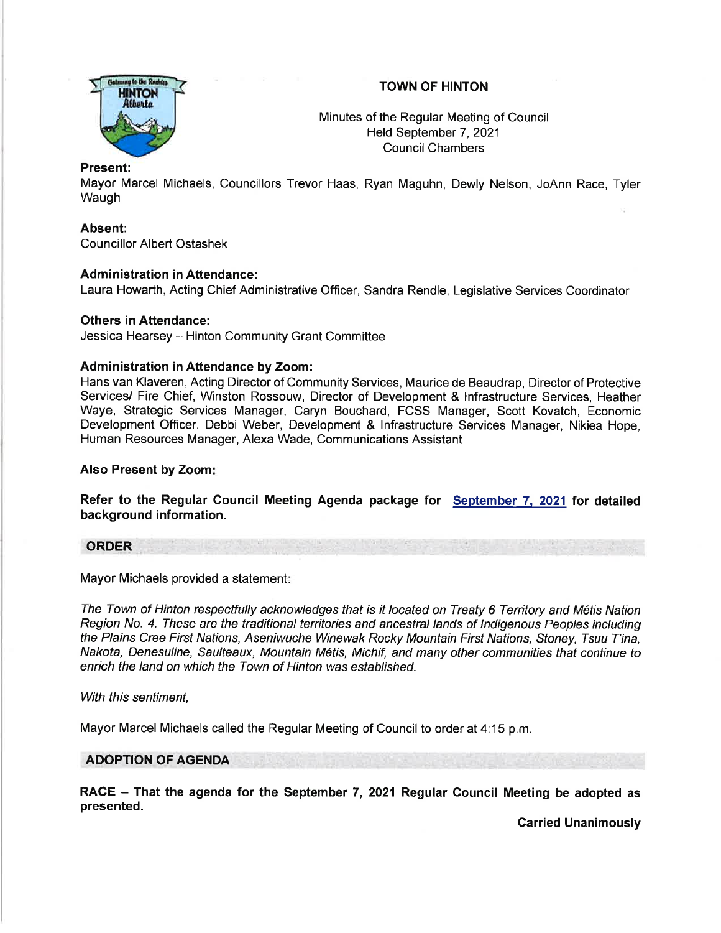# TOWN OF HINTON



Minutes of the Regular Meeting of Council Held September 7,2O21 CouncilChambers

## Present:

Mayor Marcel Michaels, Councillors Trevor Haas, Ryan Maguhn, Dewly Nelson, JoAnn Race, Tyler **Waugh** 

## Absent:

Councillor Albert Ostashek

## Administration in Attendance:

Laura Howarth, Acting Chief Administrative Officer, Sandra Rendle, Legislative Services Coordinator

## Others in Attendance:

Jessica Hearsey - Hinton Community Grant Committee

# Administration in Attendance by Zoom:

Hans van Klaveren, Acting Director of Community Services, Maurice de Beaudrap, Director of Protective Services/ Fire Chief, Winston Rossouw, Director of Development & lnfrastructure Services, Heather Waye, Strategic Services Manager, Caryn Bouchard, FCSS Manager, Scott Kovatch, Economic Development Officer, Debbi Weber, Development & lnfrastructure Services Manager, Nikiea Hope, Human Resources Manager, Alexa Wade, Communications Assistant

## Also Present by Zoom

Refer to the Regular Council Meeting Agenda package for September 7, 2021 for detailed background information.

## ORDER

Mayor Michaels provided a statement

The Town of Hinton respectfully acknowledges that is it located on Treaty 6 Territory and Métis Nation Region No. 4. These are the traditional territories and ancestral lands of Indigenous Peoples including the Plains Cree First Nations, Aseniwuche Winewak Rocky Mountain First Nations, Stoney, Tsuu T'ina, Nakota, Denesuline, Saulteaux, Mountain Metis, Michif, and many other communities that continue to enrich the land on which the Town of Hinton was established.

## With this sentiment.

Mayor Marcel Michaels called the Regular Meeting of Council to order at 4:15 p.m.

## ADOPTION OF AGENDA

RACE - That the agenda for the September 7, 2021 Regular Council Meeting be adopted as presented.

Carried Unanimously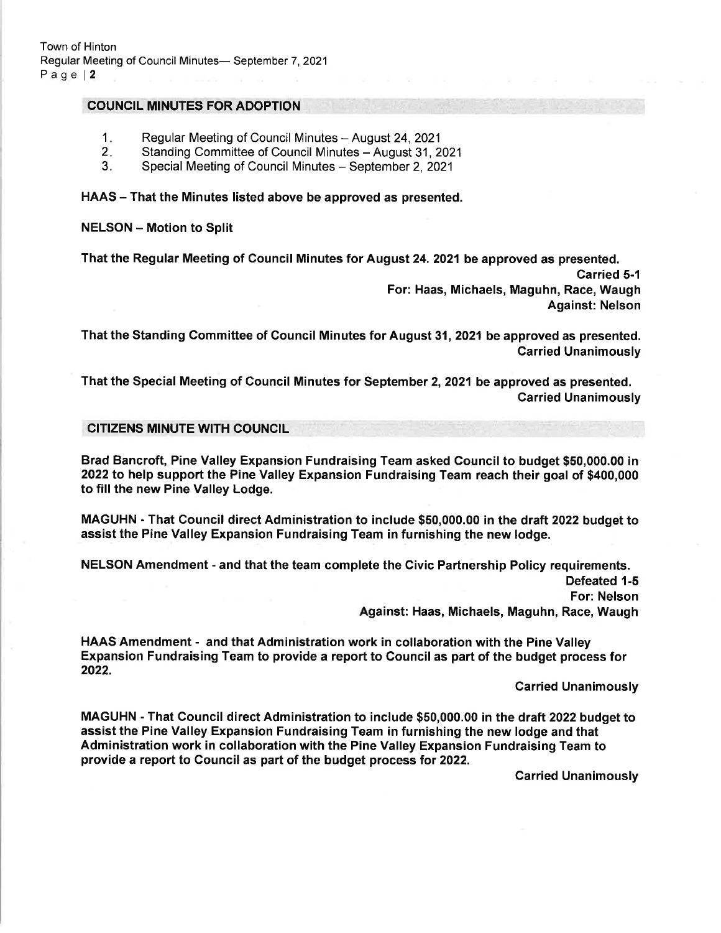#### COUNCIL MINUTES FOR ADOPTION

- Regular Meeting of Council Minutes August 24, 2021 1
- Standing Committee of Council Minutes August 31, 2021  $2.$
- Special Meeting of Council Minutes September 2, 2021 3

HAAS - That the Minutes listed above be approved as presented.

NELSON - Motion to Split

That the Regular Meeting of Council Minutes for August 24.2021 be approved as presented. Carried 5-1 For: Haas, Michaels, Maguhn, Race, Waugh Against: Nelson

That the Standing Committee of Council Minutes for August 31,2021 be approved as presented. Garried Unanimously

That the Special Meeting of Council Minutes for September 2,2021 be approved as presented. Carried Unanimously

**CITIZENS MINUTE WITH COUNCIL** 

Brad Bancroft, Pine Valley Expansion Fundraising Team asked Councilto budget \$50,000.00 in 2022 to help support the Pine Valley Expansion Fundraising Team reach their goal of \$400,000 to fill the new Pine Valley Lodge.

MAGUHN - That Council direct Administration to include \$50,000.00 in the dratt 2022 budget to assist the Pine Valley Expansion Fundraising Team in furnishing the new lodge.

NELSON Amendment - and that the team complete the Civic Partnership Policy requirements. Defeated 1-5 For: Nelson

Against: Haas, Michaels, Maguhn, Race, Waugh

HAAS Amendment - and that Administration work in collaboration with the Pine Valley Expansion Fundraising Team to provide a report to Council as part of the budget process for 2022.

Carried Unanimously

MAGUHN - That Council direct Administration to include \$50,000.00 in the draft 2022 budget to assist the Pine Valley Expansion Fundraising Team in furnishing the new lodge and that Administration work in collaboration with the Pine Valley Expansion Fundraising Team to provide a report to Council as part of the budget process tor 2022.

Carried Unanimously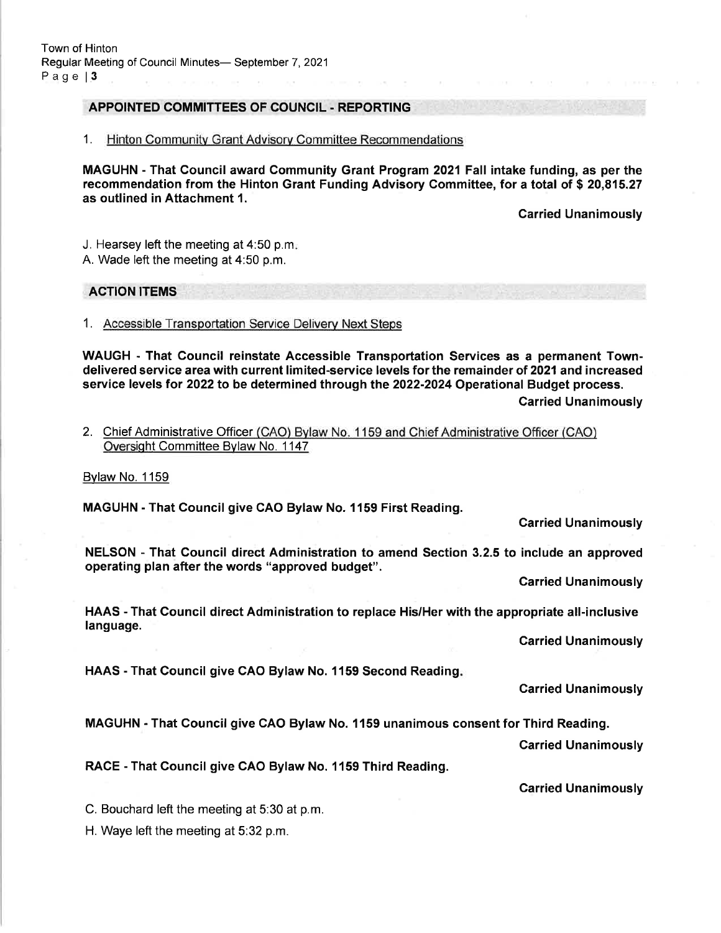### APPOINTED COMMITTEES OF COUNCIL . REPORTING

1. Hinton Communitv Grant Advisorv Committee Recommendations

MAGUHN - That Council award Gommunity Grant Program 2021 Fall intake funding, as per the recommendation from the Hinton Grant Funding Advisory Committee, for a total of \$ 20,815.27 as outlined in Attachment 1.

Carried Unanimously

J. Hearsey left the meeting at 4:50 p.m

A. Wade left the meeting at 4:50 p.m.

### ACTION ITEMS

1. Accessible Transportation Service Deliverv Next Steps

WAUGH - That Council reinstate Accessible Transportation Services as a permanent Towndelivered service area with current limited-service levels for the remainder of 2021 and increased service levels tor 2022 to be determined through the 2022-2024 Operational Budget process. Carried Unanimously

2. Chief Administrative Officer (CAO) Bvlaw No. 1 159 and Chief Administrative Officer (CAO) Oversight Committee Bylaw No. 1147

Bvlaw No. 1159

MAGUHN - That Councilgive CAO Bylaw No. 1159 First Reading.

Carried Unanimously

NELSON - That Council direct Administration to amend Section 3.2.5 to include an approved operating plan after the words "approved budget".

Carried Unanimously

HAAS - That Council direct Administration to replace His/Her with the appropriate all-inclusive language.

Garried Unanimously

HAAS - That Council give CAO Bylaw No. 1159 Second Reading

Garried Unanimously

MAGUHN - That Council give CAO Bylaw No. 1159 unanimous consent for Third Reading.

Carried Unanimously

RACE - That Council give GAO Bylaw No. 1159 Third Reading.

Carried Unanimously

C. Bouchard left the meeting at 5:30 at p.m.

H. Waye left the meeting at 5:32 p.m.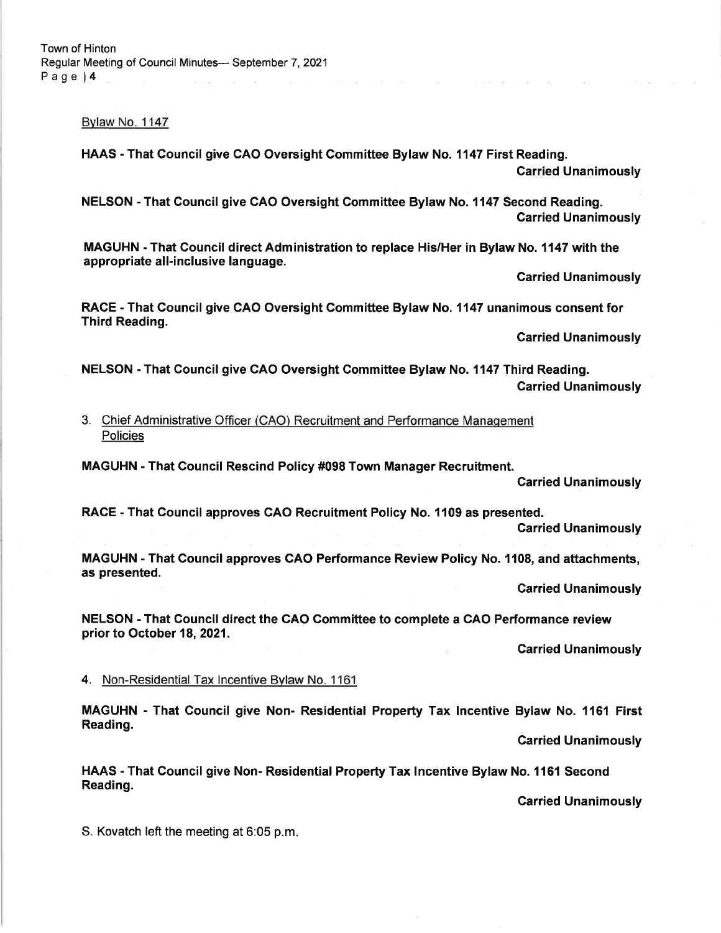Bvlaw No. 1147

HAAS - That Council give CAO Oversight Committee Bylaw No. 1147 First Reading. Carried Unanimously

NELSON - That Council give CAO Oversight Gommittee Bylaw No. 1147 Second Reading. Carried Unanimously

MAGUHN - That Council direct Administration to replace His/Her in Bylaw No. 1147 with the appropriate all-inclusive language.

Carried Unanimously

RACE - That Gouncil give CAO Oversight Gommittee Bylaw No. 1147 unanimous consent for Third Reading.

Carried Unanimously

NELSON - That Council give GAO Oversight Committee Bylaw No. 1147 Third Reading. Carried Unanimously

3. Chief Administrative Officer (CAO) Recruitment and Performance Manaqement **Policies** 

MAGUHN - That Council Rescind Policy #098 Town Manager Recruitment.

Carried Unanimously

RACE - That Council approves CAO Recruitment Policy No. 1109 as presented.

Garried Unanimously

MAGUHN . That Council approves CAO Performance Review Policy No. 1108, and attachments, as presented.

Carried Unanimously

NELSON - That Council direct the GAO Gommittee to complete a CAO Performance review prior to October 18,2021.

Carried Unanimously

4. Non-Residential Tax lncentive Bvlaw No. <sup>1161</sup>

MAGUHN - That Council give Non- Residential Property Tax lncentive Bylaw No. 1161 First Reading.

Carried Unanimously

HAAS - That Council give Non- Residential Property Tax Incentive Bylaw No. 1161 Second<br>Reading.

**Carried Unanimously** 

S. Kovatch left the meeting at 6:05 p.m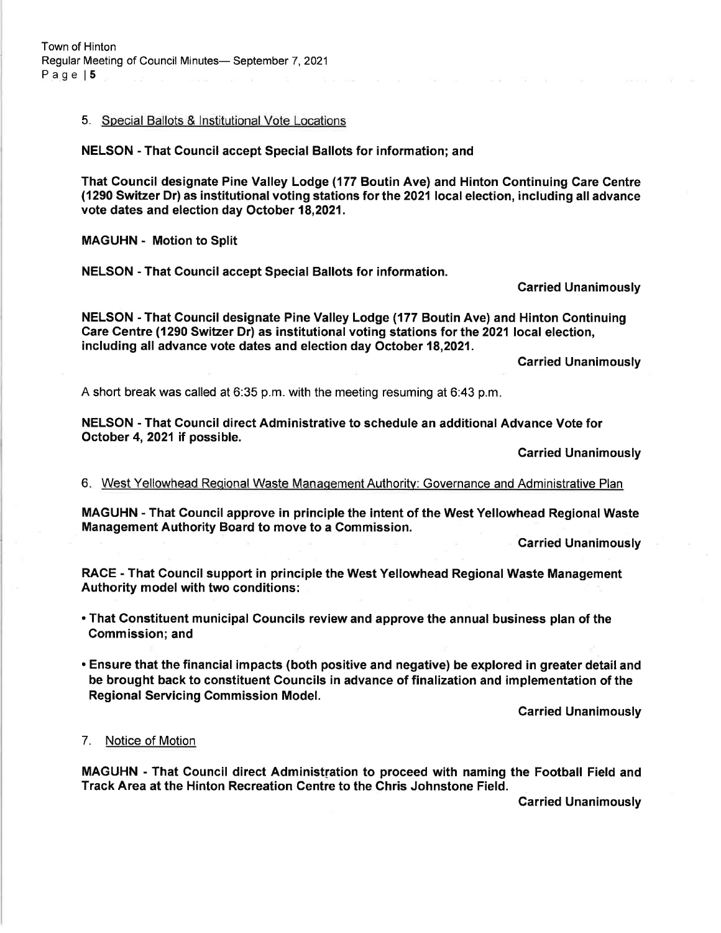### 5. Special Ballots & lnstitutional Vote Locations

NELSON - That Council accept Special Ballots for information; and

That Council designate Pine Valley Lodge (177 Boutin Ave) and Hinton Continuing Care Centre (1290 Switzer Dr) as institutional voting stations for the 2021 local election, including all advance vote dates and election day October 18,2021.

MAGUHN - Motion to Split

NELSON - That Council accept Special Ballots for information.

Carried Unanimously

NELSON - That Gouncil designate Pine Valley Lodge (177 Boutin Ave) and Hinton Continuing Care Centre (1290 Switzer Dr) as institutional voting stations for the 2021 local election, including all advance vote dates and election day October 18,2021.

Carried Unanimously

A short break was called at 6:35 p.m. with the meeting resuming at 6:43 p.m

NELSON - That Council direct Administrative to schedule an additional Advance Vote for October 4, 2021 if possible.

Carried Unanimously

6. West Yellowhead Regional Waste Management Authority: Governance and Administrative Plan

MAGUHN - That Council approve in principle the intent of the West Yellowhead Regional Waste Management Authority Board to move to a Gommission.

Garried Unanimously

RACE - That Council support in principle the West Yellowhead Regional Waste Management Authority model with two conditions:

- . That Constituent municipal Councils review and approve the annual business plan of the Commission; and
- . Ensure that the financial impacts (both positive and negative) be explored in greater detailand be brought back to constituent Councils in advance of finalization and implementation of the Regional Servicing Commission Model.

Garried Unanimously

7. Notice of Motion

MAGUHN - That Council direct Administration to proceed with naming the Football Field and Track Area at the Hinton Recreation Centre to the Chris Johnstone Field.

Garried Unanimously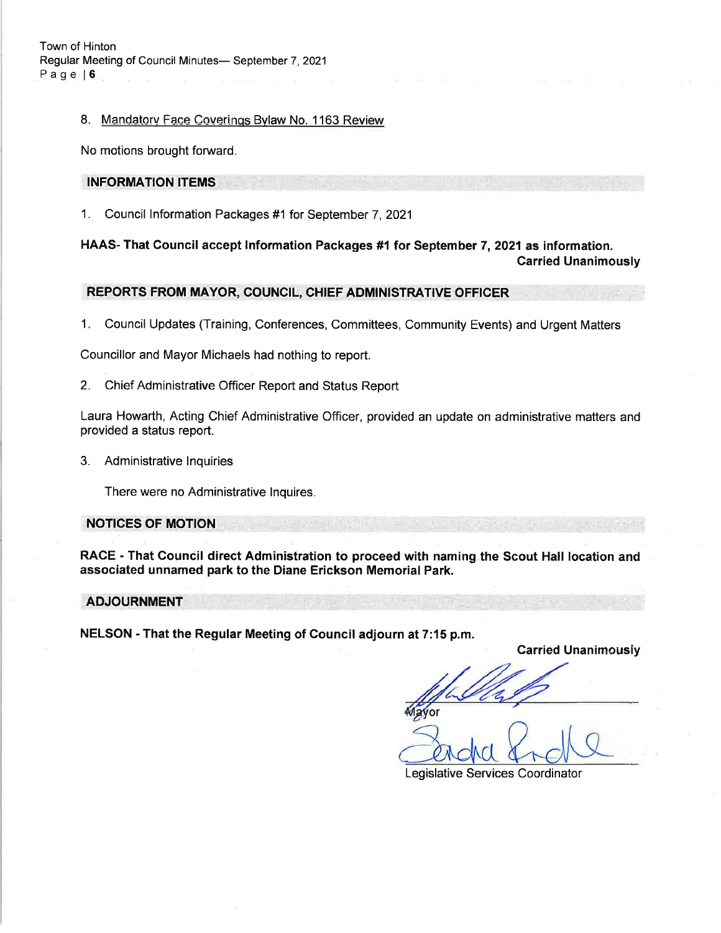### 8. Mandatory Face Coverings Bylaw No. 1163 Review

No motions brought forward.

### INFORMATION ITEMS

1. Council lnformation Packages #1 for September 7,2021

HAAS- That Council accept Information Packages #1 for September 7, 2021 as information. Carried Unanimously

### REPORTS FROM MAYOR, COUNCIL, GHIEF ADMINISTRATIVE OFFICER

1. Council Updates (Training, Conferences, Committees, Community Events) and Urgent Matters

Councillor and Mayor Michaels had nothing to report.

2. Chief Administrative Officer Report and Status Report

Laura Howarth, Acting Chief Administrative Officer, provided an update on administrative matters and provided a status report.

3. Administrative lnquiries

There were no Administrative lnquires.

#### NOTICES OF MOTION

RACE - That Gouncil direct Administration to proceed with naming the Scout Hall location and associated unnamed park to the Diane Erickson Memorial Park.

#### ADJOURNMENT

NELSON - That the Regular Meeting of Council adjourn at 7:15 p.m.

**Carried Unanimously** 

Legislative Services Coordinator